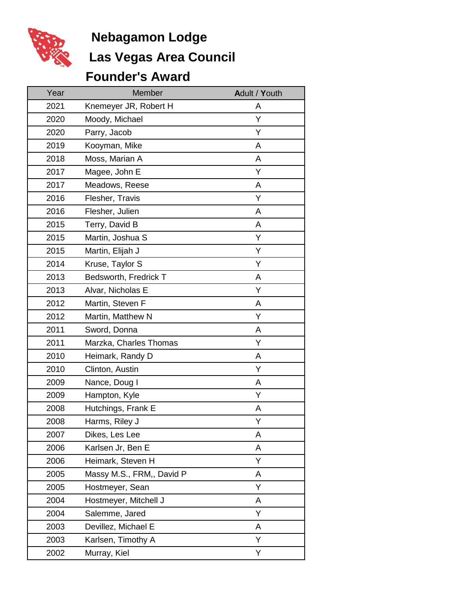

## **Las Vegas Area Council Nebagamon Lodge**

## **Founder's Award**

| Year | Member                    | Adult / Youth |
|------|---------------------------|---------------|
| 2021 | Knemeyer JR, Robert H     | A             |
| 2020 | Moody, Michael            | Υ             |
| 2020 | Parry, Jacob              | Υ             |
| 2019 | Kooyman, Mike             | A             |
| 2018 | Moss, Marian A            | A             |
| 2017 | Magee, John E             | Y             |
| 2017 | Meadows, Reese            | A             |
| 2016 | Flesher, Travis           | Y             |
| 2016 | Flesher, Julien           | A             |
| 2015 | Terry, David B            | Α             |
| 2015 | Martin, Joshua S          | Υ             |
| 2015 | Martin, Elijah J          | Υ             |
| 2014 | Kruse, Taylor S           | Υ             |
| 2013 | Bedsworth, Fredrick T     | A             |
| 2013 | Alvar, Nicholas E         | Y             |
| 2012 | Martin, Steven F          | A             |
| 2012 | Martin, Matthew N         | Υ             |
| 2011 | Sword, Donna              | A             |
| 2011 | Marzka, Charles Thomas    | Y             |
| 2010 | Heimark, Randy D          | A             |
| 2010 | Clinton, Austin           | Υ             |
| 2009 | Nance, Doug I             | A             |
| 2009 | Hampton, Kyle             | Υ             |
| 2008 | Hutchings, Frank E        | Α             |
| 2008 | Harms, Riley J            | Υ             |
| 2007 | Dikes, Les Lee            | A             |
| 2006 | Karlsen Jr, Ben E         | A             |
| 2006 | Heimark, Steven H         | Υ             |
| 2005 | Massy M.S., FRM,, David P | A             |
| 2005 | Hostmeyer, Sean           | Y             |
| 2004 | Hostmeyer, Mitchell J     | A             |
| 2004 | Salemme, Jared            | Υ             |
| 2003 | Devillez, Michael E       | A             |
| 2003 | Karlsen, Timothy A        | Υ             |
| 2002 | Murray, Kiel              | Υ             |